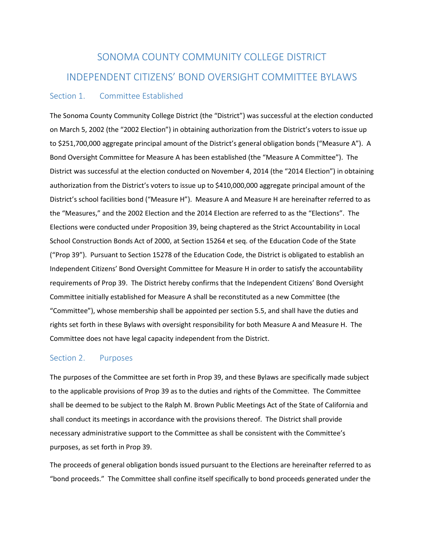# SONOMA COUNTY COMMUNITY COLLEGE DISTRICT INDEPENDENT CITIZENS' BOND OVERSIGHT COMMITTEE BYLAWS Section 1. Committee Established

The Sonoma County Community College District (the "District") was successful at the election conducted on March 5, 2002 (the "2002 Election") in obtaining authorization from the District's voters to issue up to \$251,700,000 aggregate principal amount of the District's general obligation bonds ("Measure A"). A Bond Oversight Committee for Measure A has been established (the "Measure A Committee"). The District was successful at the election conducted on November 4, 2014 (the "2014 Election") in obtaining authorization from the District's voters to issue up to \$410,000,000 aggregate principal amount of the District's school facilities bond ("Measure H"). Measure A and Measure H are hereinafter referred to as the "Measures," and the 2002 Election and the 2014 Election are referred to as the "Elections". The Elections were conducted under Proposition 39, being chaptered as the Strict Accountability in Local School Construction Bonds Act of 2000, at Section 15264 et seq. of the Education Code of the State ("Prop 39"). Pursuant to Section 15278 of the Education Code, the District is obligated to establish an Independent Citizens' Bond Oversight Committee for Measure H in order to satisfy the accountability requirements of Prop 39. The District hereby confirms that the Independent Citizens' Bond Oversight Committee initially established for Measure A shall be reconstituted as a new Committee (the "Committee"), whose membership shall be appointed per section 5.5, and shall have the duties and rights set forth in these Bylaws with oversight responsibility for both Measure A and Measure H. The Committee does not have legal capacity independent from the District.

# Section 2. Purposes

The purposes of the Committee are set forth in Prop 39, and these Bylaws are specifically made subject to the applicable provisions of Prop 39 as to the duties and rights of the Committee. The Committee shall be deemed to be subject to the Ralph M. Brown Public Meetings Act of the State of California and shall conduct its meetings in accordance with the provisions thereof. The District shall provide necessary administrative support to the Committee as shall be consistent with the Committee's purposes, as set forth in Prop 39.

The proceeds of general obligation bonds issued pursuant to the Elections are hereinafter referred to as "bond proceeds." The Committee shall confine itself specifically to bond proceeds generated under the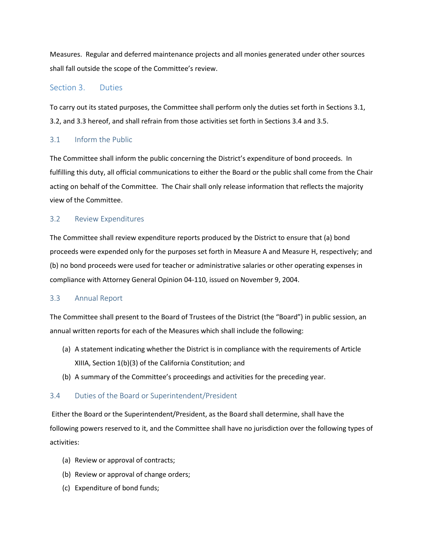Measures. Regular and deferred maintenance projects and all monies generated under other sources shall fall outside the scope of the Committee's review.

# Section 3. Duties

To carry out its stated purposes, the Committee shall perform only the duties set forth in Sections 3.1, 3.2, and 3.3 hereof, and shall refrain from those activities set forth in Sections 3.4 and 3.5.

# 3.1 Inform the Public

The Committee shall inform the public concerning the District's expenditure of bond proceeds. In fulfilling this duty, all official communications to either the Board or the public shall come from the Chair acting on behalf of the Committee. The Chair shall only release information that reflects the majority view of the Committee.

## 3.2 Review Expenditures

The Committee shall review expenditure reports produced by the District to ensure that (a) bond proceeds were expended only for the purposes set forth in Measure A and Measure H, respectively; and (b) no bond proceeds were used for teacher or administrative salaries or other operating expenses in compliance with Attorney General Opinion 04-110, issued on November 9, 2004.

## 3.3 Annual Report

The Committee shall present to the Board of Trustees of the District (the "Board") in public session, an annual written reports for each of the Measures which shall include the following:

- (a) A statement indicating whether the District is in compliance with the requirements of Article XIIIA, Section 1(b)(3) of the California Constitution; and
- (b) A summary of the Committee's proceedings and activities for the preceding year.

# 3.4 Duties of the Board or Superintendent/President

Either the Board or the Superintendent/President, as the Board shall determine, shall have the following powers reserved to it, and the Committee shall have no jurisdiction over the following types of activities:

- (a) Review or approval of contracts;
- (b) Review or approval of change orders;
- (c) Expenditure of bond funds;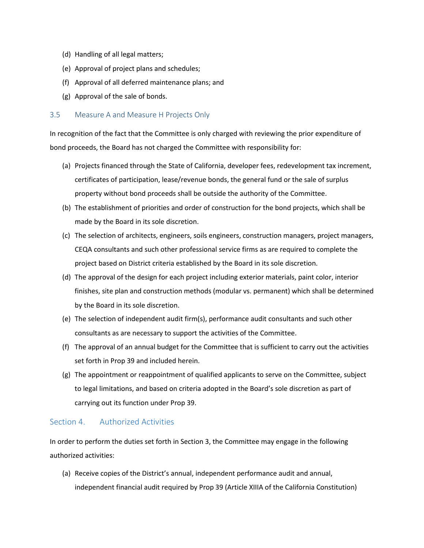- (d) Handling of all legal matters;
- (e) Approval of project plans and schedules;
- (f) Approval of all deferred maintenance plans; and
- (g) Approval of the sale of bonds.

#### 3.5 Measure A and Measure H Projects Only

In recognition of the fact that the Committee is only charged with reviewing the prior expenditure of bond proceeds, the Board has not charged the Committee with responsibility for:

- (a) Projects financed through the State of California, developer fees, redevelopment tax increment, certificates of participation, lease/revenue bonds, the general fund or the sale of surplus property without bond proceeds shall be outside the authority of the Committee.
- (b) The establishment of priorities and order of construction for the bond projects, which shall be made by the Board in its sole discretion.
- (c) The selection of architects, engineers, soils engineers, construction managers, project managers, CEQA consultants and such other professional service firms as are required to complete the project based on District criteria established by the Board in its sole discretion.
- (d) The approval of the design for each project including exterior materials, paint color, interior finishes, site plan and construction methods (modular vs. permanent) which shall be determined by the Board in its sole discretion.
- (e) The selection of independent audit firm(s), performance audit consultants and such other consultants as are necessary to support the activities of the Committee.
- (f) The approval of an annual budget for the Committee that is sufficient to carry out the activities set forth in Prop 39 and included herein.
- (g) The appointment or reappointment of qualified applicants to serve on the Committee, subject to legal limitations, and based on criteria adopted in the Board's sole discretion as part of carrying out its function under Prop 39.

## Section 4. Authorized Activities

In order to perform the duties set forth in Section 3, the Committee may engage in the following authorized activities:

(a) Receive copies of the District's annual, independent performance audit and annual, independent financial audit required by Prop 39 (Article XIIIA of the California Constitution)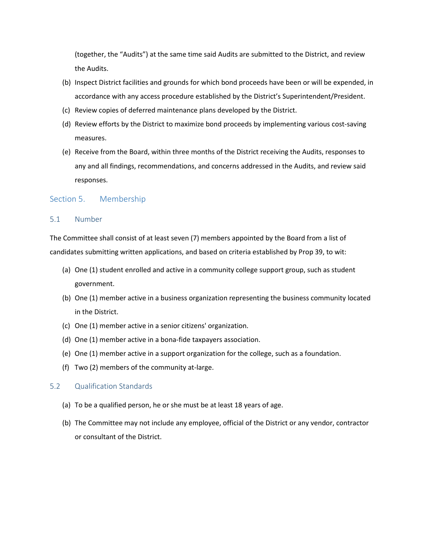(together, the "Audits") at the same time said Audits are submitted to the District, and review the Audits.

- (b) Inspect District facilities and grounds for which bond proceeds have been or will be expended, in accordance with any access procedure established by the District's Superintendent/President.
- (c) Review copies of deferred maintenance plans developed by the District.
- (d) Review efforts by the District to maximize bond proceeds by implementing various cost-saving measures.
- (e) Receive from the Board, within three months of the District receiving the Audits, responses to any and all findings, recommendations, and concerns addressed in the Audits, and review said responses.

# Section 5. Membership

## 5.1 Number

The Committee shall consist of at least seven (7) members appointed by the Board from a list of candidates submitting written applications, and based on criteria established by Prop 39, to wit:

- (a) One (1) student enrolled and active in a community college support group, such as student government.
- (b) One (1) member active in a business organization representing the business community located in the District.
- (c) One (1) member active in a senior citizens' organization.
- (d) One (1) member active in a bona-fide taxpayers association.
- (e) One (1) member active in a support organization for the college, such as a foundation.
- (f) Two (2) members of the community at-large.

# 5.2 Qualification Standards

- (a) To be a qualified person, he or she must be at least 18 years of age.
- (b) The Committee may not include any employee, official of the District or any vendor, contractor or consultant of the District.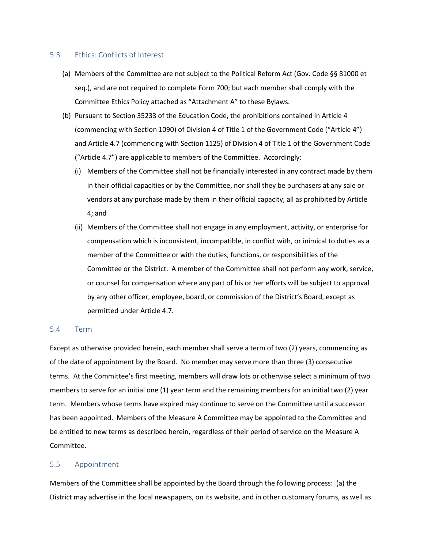## 5.3 Ethics: Conflicts of Interest

- (a) Members of the Committee are not subject to the Political Reform Act (Gov. Code §§ 81000 et seq.), and are not required to complete Form 700; but each member shall comply with the Committee Ethics Policy attached as "Attachment A" to these Bylaws.
- (b) Pursuant to Section 35233 of the Education Code, the prohibitions contained in Article 4 (commencing with Section 1090) of Division 4 of Title 1 of the Government Code ("Article 4") and Article 4.7 (commencing with Section 1125) of Division 4 of Title 1 of the Government Code ("Article 4.7") are applicable to members of the Committee. Accordingly:
	- (i) Members of the Committee shall not be financially interested in any contract made by them in their official capacities or by the Committee, nor shall they be purchasers at any sale or vendors at any purchase made by them in their official capacity, all as prohibited by Article 4; and
	- (ii) Members of the Committee shall not engage in any employment, activity, or enterprise for compensation which is inconsistent, incompatible, in conflict with, or inimical to duties as a member of the Committee or with the duties, functions, or responsibilities of the Committee or the District. A member of the Committee shall not perform any work, service, or counsel for compensation where any part of his or her efforts will be subject to approval by any other officer, employee, board, or commission of the District's Board, except as permitted under Article 4.7.

## 5.4 Term

Except as otherwise provided herein, each member shall serve a term of two (2) years, commencing as of the date of appointment by the Board. No member may serve more than three (3) consecutive terms. At the Committee's first meeting, members will draw lots or otherwise select a minimum of two members to serve for an initial one (1) year term and the remaining members for an initial two (2) year term. Members whose terms have expired may continue to serve on the Committee until a successor has been appointed. Members of the Measure A Committee may be appointed to the Committee and be entitled to new terms as described herein, regardless of their period of service on the Measure A Committee.

## 5.5 Appointment

Members of the Committee shall be appointed by the Board through the following process: (a) the District may advertise in the local newspapers, on its website, and in other customary forums, as well as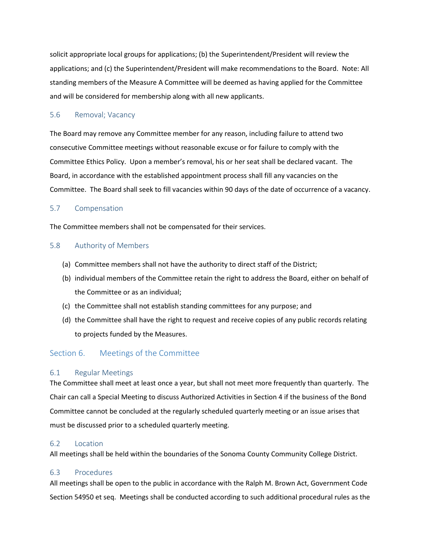solicit appropriate local groups for applications; (b) the Superintendent/President will review the applications; and (c) the Superintendent/President will make recommendations to the Board. Note: All standing members of the Measure A Committee will be deemed as having applied for the Committee and will be considered for membership along with all new applicants.

## 5.6 Removal; Vacancy

The Board may remove any Committee member for any reason, including failure to attend two consecutive Committee meetings without reasonable excuse or for failure to comply with the Committee Ethics Policy. Upon a member's removal, his or her seat shall be declared vacant. The Board, in accordance with the established appointment process shall fill any vacancies on the Committee. The Board shall seek to fill vacancies within 90 days of the date of occurrence of a vacancy.

# 5.7 Compensation

The Committee members shall not be compensated for their services.

## 5.8 Authority of Members

- (a) Committee members shall not have the authority to direct staff of the District;
- (b) individual members of the Committee retain the right to address the Board, either on behalf of the Committee or as an individual;
- (c) the Committee shall not establish standing committees for any purpose; and
- (d) the Committee shall have the right to request and receive copies of any public records relating to projects funded by the Measures.

# Section 6. Meetings of the Committee

# 6.1 Regular Meetings

The Committee shall meet at least once a year, but shall not meet more frequently than quarterly. The Chair can call a Special Meeting to discuss Authorized Activities in Section 4 if the business of the Bond Committee cannot be concluded at the regularly scheduled quarterly meeting or an issue arises that must be discussed prior to a scheduled quarterly meeting.

## 6.2 Location

All meetings shall be held within the boundaries of the Sonoma County Community College District.

## 6.3 Procedures

All meetings shall be open to the public in accordance with the Ralph M. Brown Act, Government Code Section 54950 et seq. Meetings shall be conducted according to such additional procedural rules as the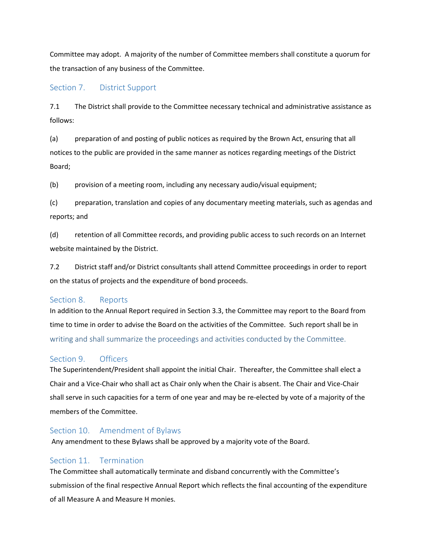Committee may adopt. A majority of the number of Committee members shall constitute a quorum for the transaction of any business of the Committee.

# Section 7. District Support

7.1 The District shall provide to the Committee necessary technical and administrative assistance as follows:

(a) preparation of and posting of public notices as required by the Brown Act, ensuring that all notices to the public are provided in the same manner as notices regarding meetings of the District Board;

(b) provision of a meeting room, including any necessary audio/visual equipment;

(c) preparation, translation and copies of any documentary meeting materials, such as agendas and reports; and

(d) retention of all Committee records, and providing public access to such records on an Internet website maintained by the District.

7.2 District staff and/or District consultants shall attend Committee proceedings in order to report on the status of projects and the expenditure of bond proceeds.

# Section 8. Reports

In addition to the Annual Report required in Section 3.3, the Committee may report to the Board from time to time in order to advise the Board on the activities of the Committee. Such report shall be in writing and shall summarize the proceedings and activities conducted by the Committee.

# Section 9. Officers

The Superintendent/President shall appoint the initial Chair. Thereafter, the Committee shall elect a Chair and a Vice-Chair who shall act as Chair only when the Chair is absent. The Chair and Vice-Chair shall serve in such capacities for a term of one year and may be re-elected by vote of a majority of the members of the Committee.

# Section 10. Amendment of Bylaws

Any amendment to these Bylaws shall be approved by a majority vote of the Board.

# Section 11. Termination

The Committee shall automatically terminate and disband concurrently with the Committee's submission of the final respective Annual Report which reflects the final accounting of the expenditure of all Measure A and Measure H monies.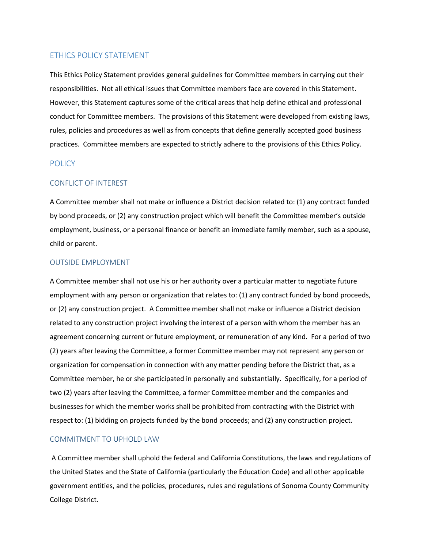# ETHICS POLICY STATEMENT

This Ethics Policy Statement provides general guidelines for Committee members in carrying out their responsibilities. Not all ethical issues that Committee members face are covered in this Statement. However, this Statement captures some of the critical areas that help define ethical and professional conduct for Committee members. The provisions of this Statement were developed from existing laws, rules, policies and procedures as well as from concepts that define generally accepted good business practices. Committee members are expected to strictly adhere to the provisions of this Ethics Policy.

# **POLICY**

#### CONFLICT OF INTEREST

A Committee member shall not make or influence a District decision related to: (1) any contract funded by bond proceeds, or (2) any construction project which will benefit the Committee member's outside employment, business, or a personal finance or benefit an immediate family member, such as a spouse, child or parent.

## OUTSIDE EMPLOYMENT

A Committee member shall not use his or her authority over a particular matter to negotiate future employment with any person or organization that relates to: (1) any contract funded by bond proceeds, or (2) any construction project. A Committee member shall not make or influence a District decision related to any construction project involving the interest of a person with whom the member has an agreement concerning current or future employment, or remuneration of any kind. For a period of two (2) years after leaving the Committee, a former Committee member may not represent any person or organization for compensation in connection with any matter pending before the District that, as a Committee member, he or she participated in personally and substantially. Specifically, for a period of two (2) years after leaving the Committee, a former Committee member and the companies and businesses for which the member works shall be prohibited from contracting with the District with respect to: (1) bidding on projects funded by the bond proceeds; and (2) any construction project.

## COMMITMENT TO UPHOLD LAW

A Committee member shall uphold the federal and California Constitutions, the laws and regulations of the United States and the State of California (particularly the Education Code) and all other applicable government entities, and the policies, procedures, rules and regulations of Sonoma County Community College District.